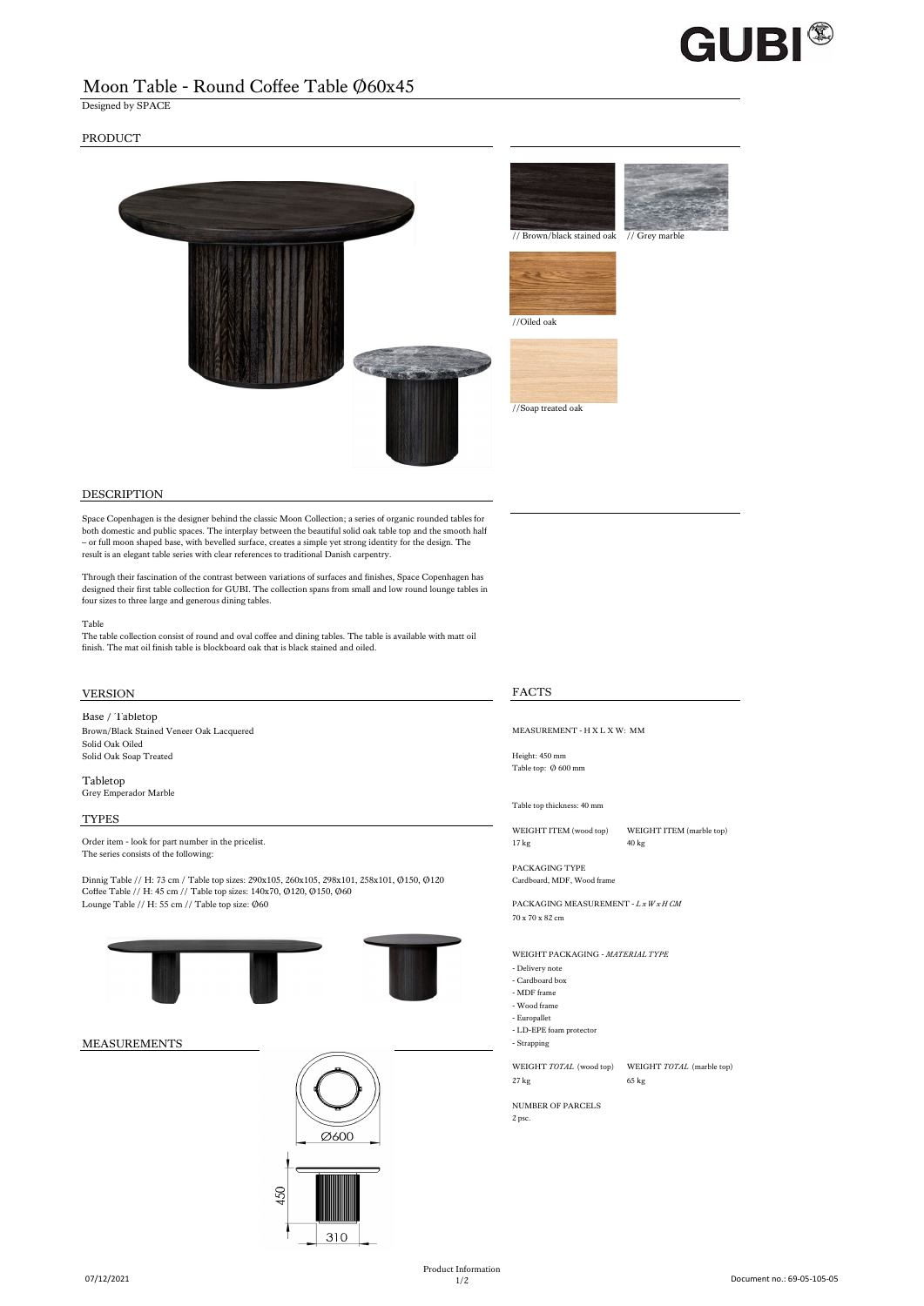

# Moon Table - Round Coffee Table Ø60x45

Designed by SPACE

## PRODUCT



## DESCRIPTION

Space Copenhagen is the designer behind the classic Moon Collection; a series of organic rounded tables for both domestic and public spaces. The interplay between the beautiful solid oak table top and the smooth half – or full moon shaped base, with bevelled surface, creates a simple yet strong identity for the design. The result is an elegant table series with clear references to traditional Danish carpentry.

Through their fascination of the contrast between variations of surfaces and finishes, Space Copenhagen has designed their first table collection for GUBI. The collection spans from small and low round lounge tables in four sizes to three large and generous dining tables.

### Table

The table collection consist of round and oval coffee and dining tables. The table is available with matt oil finish. The mat oil finish table is blockboard oak that is black stained and oiled.

# VERSION FACTS

Base / Tabletop

Brown/Black Stained Veneer Oak Lacquered MEASUREMENT - H X L X W: MM Solid Oak Oiled Solid Oak Soap Treated Height: 450 mm

Tabletop Grey Emperador Marble

TYPES

Order item - look for part number in the pricelist. 17 kg 40 kg The series consists of the following:

Dinnig Table // H: 73 cm / Table top sizes: 290x105, 260x105, 298x101, 258x101, Ø150, Ø120 Cardboard, MDF, Wood frame<br>Coffee Table // H: 45 cm // Table top sizes: 140x70, Ø120, Ø150, Ø60 Lounge Table // H: 55 cm // Table top size: Ø60 PACKAGING MEASUREMENT - *L x W x H CM* 





Table top: Ø 600 mm

Table top thickness: 40 mm

WEIGHT ITEM (wood top) WEIGHT ITEM (marble top)

PACKAGING TYPE

70 x 70 x 82 cm

WEIGHT PACKAGING - *MATERIAL TYPE*

- Delivery note
- Cardboard box - MDF frame
- 
- Wood frame - Europallet
- LD-EPE foam protector
- 

WEIGHT *TOTAL* (wood top) WEIGHT *TOTAL* (marble top) 27 kg 65 kg 65 kg 65 kg 65 kg 65 kg 65 kg 65 kg 65 kg 65 kg 65 kg 65 kg 65 kg 65 kg 65 kg 65 kg 66 kg 67 kg 68 kg 68 kg 68 kg 68 kg 68 kg 68 kg 68 kg 68 kg 68 kg 68 kg 68 kg 68 kg 68 kg 68 kg 68 kg 68 kg 68 kg 68 kg 68 kg

# NUMBER OF PARCELS

2 psc.